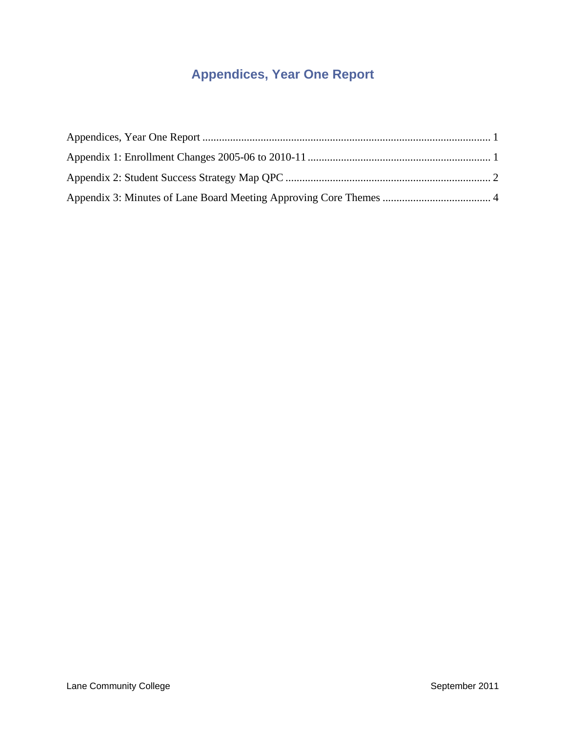# **Appendices, Year One Report**

<span id="page-0-0"></span>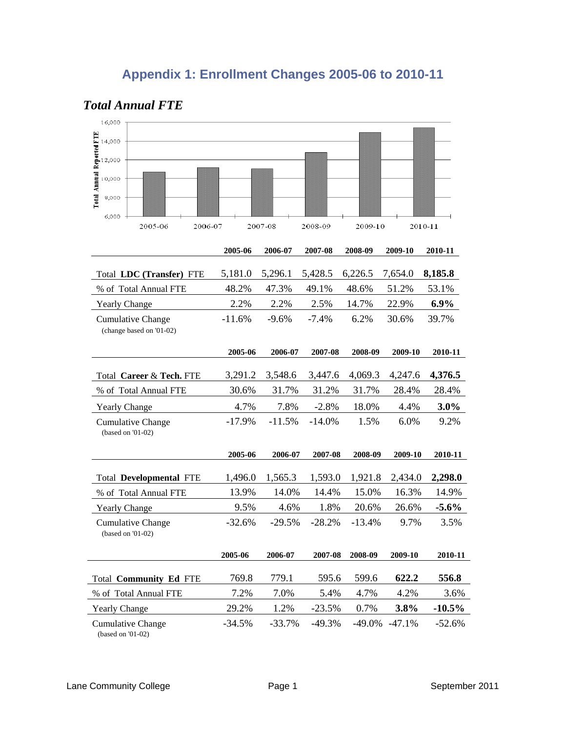# **Appendix 1: Enrollment Changes 2005-06 to 2010-11**

| 16,000                                                                    |               |               |          |          |          |               |
|---------------------------------------------------------------------------|---------------|---------------|----------|----------|----------|---------------|
| Total Annual Reported FTE<br>14,000<br>12,000<br>10,000<br>8,000<br>6,000 |               |               |          |          |          |               |
| 2005-06<br>2006-07                                                        |               | 2007-08       | 2008-09  | 2009-10  |          | 2010-11       |
|                                                                           | 2005-06       | 2006-07       | 2007-08  | 2008-09  | 2009-10  | 2010-11       |
| Total LDC (Transfer) FTE                                                  | 5,181.0       | 5,296.1       | 5,428.5  | 6,226.5  | 7,654.0  | 8,185.8       |
| % of Total Annual FTE                                                     | 48.2%         | 47.3%         | 49.1%    | 48.6%    | 51.2%    | 53.1%         |
| <b>Yearly Change</b>                                                      | 2.2%          | 2.2%          | 2.5%     | 14.7%    | 22.9%    | 6.9%          |
| <b>Cumulative Change</b><br>(change based on '01-02)                      | $-11.6%$      | $-9.6%$       | $-7.4%$  | 6.2%     | 30.6%    | 39.7%         |
|                                                                           |               |               |          |          |          |               |
|                                                                           | 2005-06       | 2006-07       | 2007-08  | 2008-09  | 2009-10  | 2010-11       |
| Total Career & Tech. FTE                                                  | 3,291.2       | 3,548.6       | 3,447.6  | 4,069.3  | 4,247.6  | 4,376.5       |
| % of Total Annual FTE                                                     | 30.6%         | 31.7%         | 31.2%    | 31.7%    | 28.4%    | 28.4%         |
| <b>Yearly Change</b>                                                      | 4.7%          | 7.8%          | $-2.8%$  | 18.0%    | 4.4%     | 3.0%          |
| <b>Cumulative Change</b><br>(based on '01-02)                             | $-17.9%$      | $-11.5%$      | $-14.0%$ | 1.5%     | 6.0%     | 9.2%          |
|                                                                           | 2005-06       | 2006-07       | 2007-08  | 2008-09  | 2009-10  | 2010-11       |
| <b>Total Developmental FTE</b>                                            | 1,496.0       | 1,565.3       | 1,593.0  | 1,921.8  | 2,434.0  | 2,298.0       |
| % of Total Annual FTE                                                     | 13.9%         | 14.0%         | 14.4%    | 15.0%    | 16.3%    | 14.9%         |
| Yearly Change                                                             | 9.5%          | 4.6%          | 1.8%     | 20.6%    | 26.6%    | $-5.6%$       |
| <b>Cumulative Change</b><br>(based on '01-02)                             | $-32.6%$      | $-29.5%$      | $-28.2%$ | $-13.4%$ | 9.7%     | 3.5%          |
|                                                                           | 2005-06       | 2006-07       | 2007-08  | 2008-09  | 2009-10  | 2010-11       |
|                                                                           |               |               |          |          | 622.2    |               |
| Total Community Ed FTE                                                    | 769.8<br>7.2% | 779.1<br>7.0% | 595.6    | 599.6    |          | 556.8<br>3.6% |
| % of Total Annual FTE                                                     |               |               | 5.4%     | 4.7%     | 4.2%     |               |
| <b>Yearly Change</b>                                                      | 29.2%         | 1.2%          | $-23.5%$ | 0.7%     | 3.8%     | $-10.5\%$     |
| <b>Cumulative Change</b><br>(based on '01-02)                             | $-34.5%$      | $-33.7%$      | $-49.3%$ | $-49.0%$ | $-47.1%$ | $-52.6%$      |

## <span id="page-1-0"></span>*Total Annual FTE*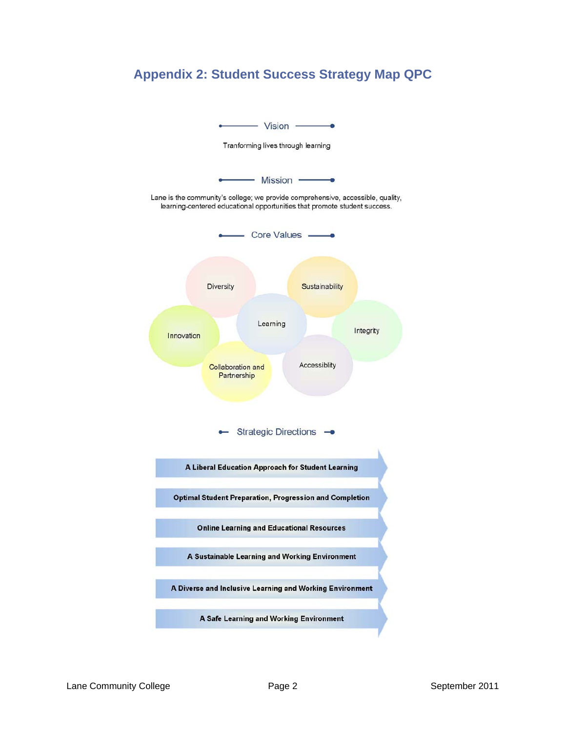

## <span id="page-2-0"></span>**Appendix 2: Student Success Strategy Map QPC**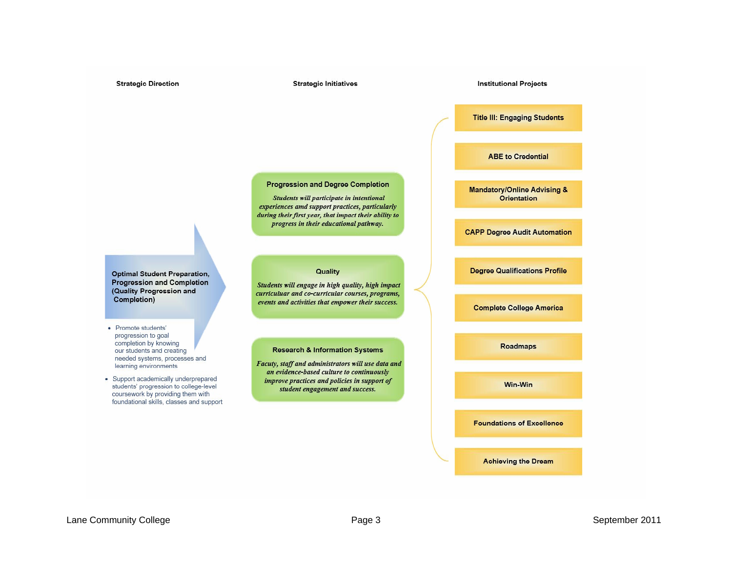**Strategic Initiatives** 

**Institutional Projects** 

**Title III: Engaging Students** 

**ABE to Credential** 

**Mandatory/Online Advising & Orientation** 

**CAPP Degree Audit Automation** 

**Degree Qualifications Profile** 

**Complete College America** 

**Roadmaps** 

Win-Win

**Foundations of Excellence** 

**Achieving the Dream** 

**Progression and Degree Completion** 

Students will participate in intentional experiences amd support practices, particularly during their first year, that impact their ability to progress in their educational pathway.

Quality

Students will engage in high quality, high impact

curriculuar and co-curricular courses, programs,

events and activities that empower their success.

**Research & Information Systems** 

Facuty, staff and administrators will use data and

an evidence-based culture to continuously

improve practices and policies in support of

student engagement and success.

**Optimal Student Preparation, Progression and Completion** (Quality Progression and Completion)

- · Promote students' progression to goal completion by knowing our students and creating needed systems, processes and learning environments
- Support academically underprepared students' progression to college-level coursework by providing them with foundational skills, classes and support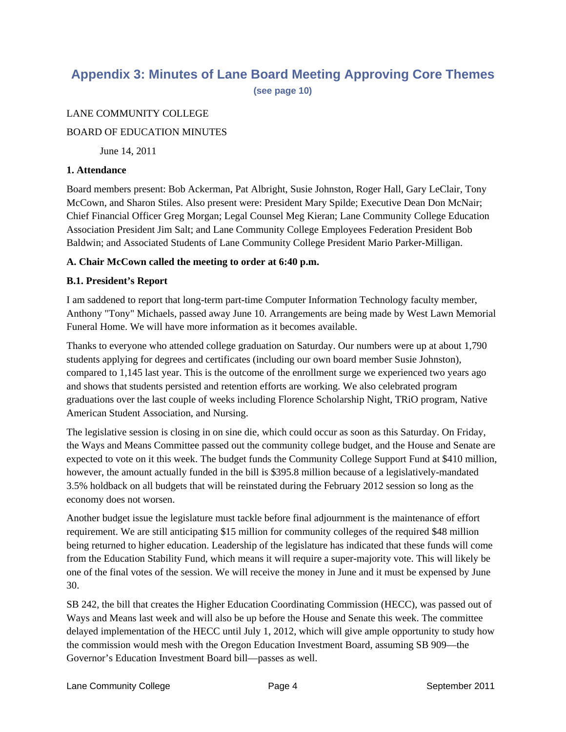## <span id="page-4-0"></span>**Appendix 3: Minutes of Lane Board Meeting Approving Core Themes**

**(see page 10)**

## LANE COMMUNITY COLLEGE

## BOARD OF EDUCATION MINUTES

June 14, 2011

#### **1. Attendance**

Board members present: Bob Ackerman, Pat Albright, Susie Johnston, Roger Hall, Gary LeClair, Tony McCown, and Sharon Stiles. Also present were: President Mary Spilde; Executive Dean Don McNair; Chief Financial Officer Greg Morgan; Legal Counsel Meg Kieran; Lane Community College Education Association President Jim Salt; and Lane Community College Employees Federation President Bob Baldwin; and Associated Students of Lane Community College President Mario Parker-Milligan.

## **A. Chair McCown called the meeting to order at 6:40 p.m.**

## **B.1. President's Report**

I am saddened to report that long-term part-time Computer Information Technology faculty member, Anthony "Tony" Michaels, passed away June 10. Arrangements are being made by West Lawn Memorial Funeral Home. We will have more information as it becomes available.

Thanks to everyone who attended college graduation on Saturday. Our numbers were up at about 1,790 students applying for degrees and certificates (including our own board member Susie Johnston), compared to 1,145 last year. This is the outcome of the enrollment surge we experienced two years ago and shows that students persisted and retention efforts are working. We also celebrated program graduations over the last couple of weeks including Florence Scholarship Night, TRiO program, Native American Student Association, and Nursing.

The legislative session is closing in on sine die, which could occur as soon as this Saturday. On Friday, the Ways and Means Committee passed out the community college budget, and the House and Senate are expected to vote on it this week. The budget funds the Community College Support Fund at \$410 million, however, the amount actually funded in the bill is \$395.8 million because of a legislatively-mandated 3.5% holdback on all budgets that will be reinstated during the February 2012 session so long as the economy does not worsen.

Another budget issue the legislature must tackle before final adjournment is the maintenance of effort requirement. We are still anticipating \$15 million for community colleges of the required \$48 million being returned to higher education. Leadership of the legislature has indicated that these funds will come from the Education Stability Fund, which means it will require a super-majority vote. This will likely be one of the final votes of the session. We will receive the money in June and it must be expensed by June 30.

SB 242, the bill that creates the Higher Education Coordinating Commission (HECC), was passed out of Ways and Means last week and will also be up before the House and Senate this week. The committee delayed implementation of the HECC until July 1, 2012, which will give ample opportunity to study how the commission would mesh with the Oregon Education Investment Board, assuming SB 909—the Governor's Education Investment Board bill—passes as well.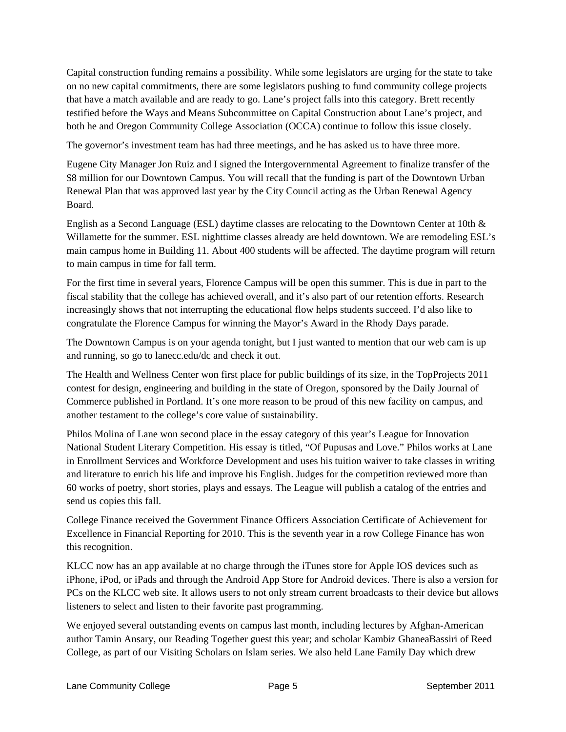Capital construction funding remains a possibility. While some legislators are urging for the state to take on no new capital commitments, there are some legislators pushing to fund community college projects that have a match available and are ready to go. Lane's project falls into this category. Brett recently testified before the Ways and Means Subcommittee on Capital Construction about Lane's project, and both he and Oregon Community College Association (OCCA) continue to follow this issue closely.

The governor's investment team has had three meetings, and he has asked us to have three more.

Eugene City Manager Jon Ruiz and I signed the Intergovernmental Agreement to finalize transfer of the \$8 million for our Downtown Campus. You will recall that the funding is part of the Downtown Urban Renewal Plan that was approved last year by the City Council acting as the Urban Renewal Agency Board.

English as a Second Language (ESL) daytime classes are relocating to the Downtown Center at 10th & Willamette for the summer. ESL nighttime classes already are held downtown. We are remodeling ESL's main campus home in Building 11. About 400 students will be affected. The daytime program will return to main campus in time for fall term.

For the first time in several years, Florence Campus will be open this summer. This is due in part to the fiscal stability that the college has achieved overall, and it's also part of our retention efforts. Research increasingly shows that not interrupting the educational flow helps students succeed. I'd also like to congratulate the Florence Campus for winning the Mayor's Award in the Rhody Days parade.

The Downtown Campus is on your agenda tonight, but I just wanted to mention that our web cam is up and running, so go to lanecc.edu/dc and check it out.

The Health and Wellness Center won first place for public buildings of its size, in the TopProjects 2011 contest for design, engineering and building in the state of Oregon, sponsored by the Daily Journal of Commerce published in Portland. It's one more reason to be proud of this new facility on campus, and another testament to the college's core value of sustainability.

Philos Molina of Lane won second place in the essay category of this year's League for Innovation National Student Literary Competition. His essay is titled, "Of Pupusas and Love." Philos works at Lane in Enrollment Services and Workforce Development and uses his tuition waiver to take classes in writing and literature to enrich his life and improve his English. Judges for the competition reviewed more than 60 works of poetry, short stories, plays and essays. The League will publish a catalog of the entries and send us copies this fall.

College Finance received the Government Finance Officers Association Certificate of Achievement for Excellence in Financial Reporting for 2010. This is the seventh year in a row College Finance has won this recognition.

KLCC now has an app available at no charge through the iTunes store for Apple IOS devices such as iPhone, iPod, or iPads and through the Android App Store for Android devices. There is also a version for PCs on the KLCC web site. It allows users to not only stream current broadcasts to their device but allows listeners to select and listen to their favorite past programming.

We enjoyed several outstanding events on campus last month, including lectures by Afghan-American author Tamin Ansary, our Reading Together guest this year; and scholar Kambiz GhaneaBassiri of Reed College, as part of our Visiting Scholars on Islam series. We also held Lane Family Day which drew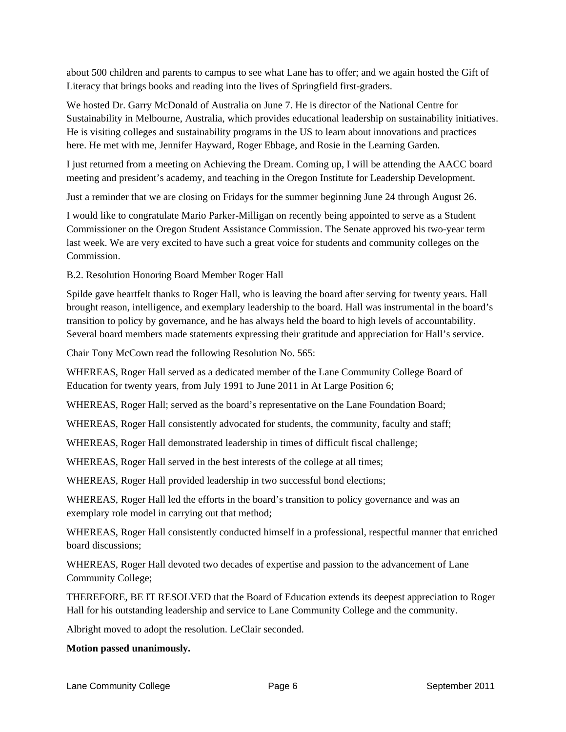about 500 children and parents to campus to see what Lane has to offer; and we again hosted the Gift of Literacy that brings books and reading into the lives of Springfield first-graders.

We hosted Dr. Garry McDonald of Australia on June 7. He is director of the National Centre for Sustainability in Melbourne, Australia, which provides educational leadership on sustainability initiatives. He is visiting colleges and sustainability programs in the US to learn about innovations and practices here. He met with me, Jennifer Hayward, Roger Ebbage, and Rosie in the Learning Garden.

I just returned from a meeting on Achieving the Dream. Coming up, I will be attending the AACC board meeting and president's academy, and teaching in the Oregon Institute for Leadership Development.

Just a reminder that we are closing on Fridays for the summer beginning June 24 through August 26.

I would like to congratulate Mario Parker-Milligan on recently being appointed to serve as a Student Commissioner on the Oregon Student Assistance Commission. The Senate approved his two-year term last week. We are very excited to have such a great voice for students and community colleges on the Commission.

B.2. Resolution Honoring Board Member Roger Hall

Spilde gave heartfelt thanks to Roger Hall, who is leaving the board after serving for twenty years. Hall brought reason, intelligence, and exemplary leadership to the board. Hall was instrumental in the board's transition to policy by governance, and he has always held the board to high levels of accountability. Several board members made statements expressing their gratitude and appreciation for Hall's service.

Chair Tony McCown read the following Resolution No. 565:

WHEREAS, Roger Hall served as a dedicated member of the Lane Community College Board of Education for twenty years, from July 1991 to June 2011 in At Large Position 6;

WHEREAS, Roger Hall; served as the board's representative on the Lane Foundation Board;

WHEREAS, Roger Hall consistently advocated for students, the community, faculty and staff;

WHEREAS, Roger Hall demonstrated leadership in times of difficult fiscal challenge;

WHEREAS, Roger Hall served in the best interests of the college at all times;

WHEREAS, Roger Hall provided leadership in two successful bond elections;

WHEREAS, Roger Hall led the efforts in the board's transition to policy governance and was an exemplary role model in carrying out that method;

WHEREAS, Roger Hall consistently conducted himself in a professional, respectful manner that enriched board discussions;

WHEREAS, Roger Hall devoted two decades of expertise and passion to the advancement of Lane Community College;

THEREFORE, BE IT RESOLVED that the Board of Education extends its deepest appreciation to Roger Hall for his outstanding leadership and service to Lane Community College and the community.

Albright moved to adopt the resolution. LeClair seconded.

## **Motion passed unanimously.**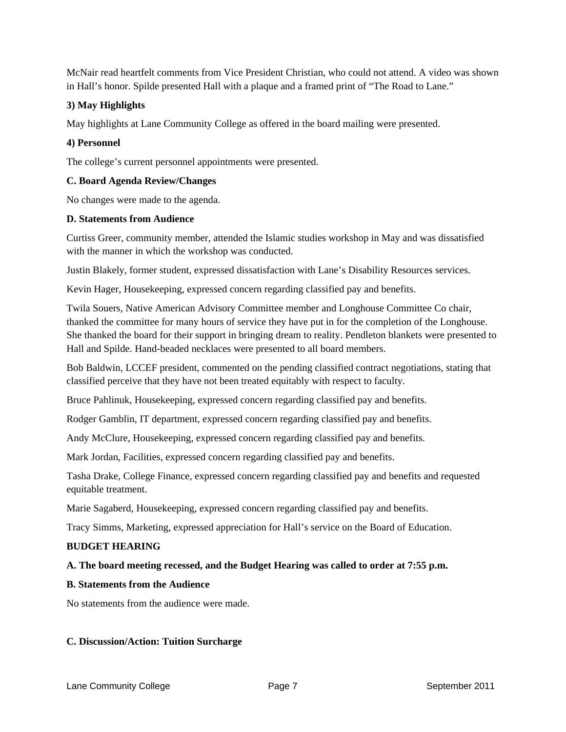McNair read heartfelt comments from Vice President Christian, who could not attend. A video was shown in Hall's honor. Spilde presented Hall with a plaque and a framed print of "The Road to Lane."

## **3) May Highlights**

May highlights at Lane Community College as offered in the board mailing were presented.

## **4) Personnel**

The college's current personnel appointments were presented.

## **C. Board Agenda Review/Changes**

No changes were made to the agenda.

## **D. Statements from Audience**

Curtiss Greer, community member, attended the Islamic studies workshop in May and was dissatisfied with the manner in which the workshop was conducted.

Justin Blakely, former student, expressed dissatisfaction with Lane's Disability Resources services.

Kevin Hager, Housekeeping, expressed concern regarding classified pay and benefits.

Twila Souers, Native American Advisory Committee member and Longhouse Committee Co chair, thanked the committee for many hours of service they have put in for the completion of the Longhouse. She thanked the board for their support in bringing dream to reality. Pendleton blankets were presented to Hall and Spilde. Hand-beaded necklaces were presented to all board members.

Bob Baldwin, LCCEF president, commented on the pending classified contract negotiations, stating that classified perceive that they have not been treated equitably with respect to faculty.

Bruce Pahlinuk, Housekeeping, expressed concern regarding classified pay and benefits.

Rodger Gamblin, IT department, expressed concern regarding classified pay and benefits.

Andy McClure, Housekeeping, expressed concern regarding classified pay and benefits.

Mark Jordan, Facilities, expressed concern regarding classified pay and benefits.

Tasha Drake, College Finance, expressed concern regarding classified pay and benefits and requested equitable treatment.

Marie Sagaberd, Housekeeping, expressed concern regarding classified pay and benefits.

Tracy Simms, Marketing, expressed appreciation for Hall's service on the Board of Education.

## **BUDGET HEARING**

## **A. The board meeting recessed, and the Budget Hearing was called to order at 7:55 p.m.**

## **B. Statements from the Audience**

No statements from the audience were made.

## **C. Discussion/Action: Tuition Surcharge**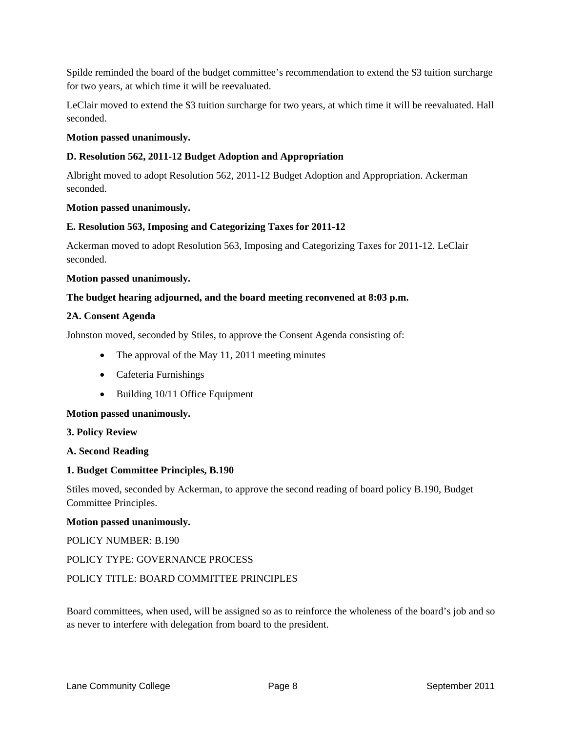Spilde reminded the board of the budget committee's recommendation to extend the \$3 tuition surcharge for two years, at which time it will be reevaluated.

LeClair moved to extend the \$3 tuition surcharge for two years, at which time it will be reevaluated. Hall seconded.

## **Motion passed unanimously.**

## **D. Resolution 562, 2011-12 Budget Adoption and Appropriation**

Albright moved to adopt Resolution 562, 2011-12 Budget Adoption and Appropriation. Ackerman seconded.

## **Motion passed unanimously.**

## **E. Resolution 563, Imposing and Categorizing Taxes for 2011-12**

Ackerman moved to adopt Resolution 563, Imposing and Categorizing Taxes for 2011-12. LeClair seconded.

## **Motion passed unanimously.**

## **The budget hearing adjourned, and the board meeting reconvened at 8:03 p.m.**

## **2A. Consent Agenda**

Johnston moved, seconded by Stiles, to approve the Consent Agenda consisting of:

- The approval of the May 11, 2011 meeting minutes
- Cafeteria Furnishings
- Building 10/11 Office Equipment

## **Motion passed unanimously.**

## **3. Policy Review**

## **A. Second Reading**

## **1. Budget Committee Principles, B.190**

Stiles moved, seconded by Ackerman, to approve the second reading of board policy B.190, Budget Committee Principles.

## **Motion passed unanimously.**

POLICY NUMBER: B.190

## POLICY TYPE: GOVERNANCE PROCESS

## POLICY TITLE: BOARD COMMITTEE PRINCIPLES

Board committees, when used, will be assigned so as to reinforce the wholeness of the board's job and so as never to interfere with delegation from board to the president.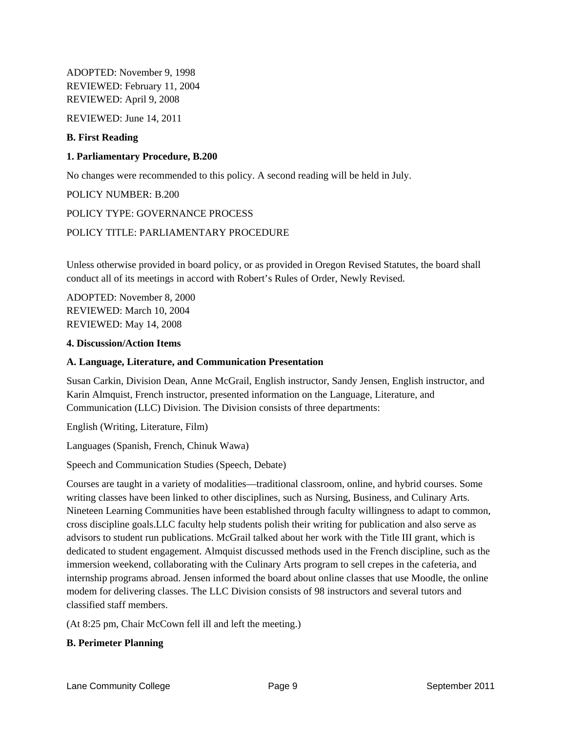ADOPTED: November 9, 1998 REVIEWED: February 11, 2004 REVIEWED: April 9, 2008

REVIEWED: June 14, 2011

## **B. First Reading**

## **1. Parliamentary Procedure, B.200**

No changes were recommended to this policy. A second reading will be held in July.

## POLICY NUMBER: B.200

## POLICY TYPE: GOVERNANCE PROCESS

## POLICY TITLE: PARLIAMENTARY PROCEDURE

Unless otherwise provided in board policy, or as provided in Oregon Revised Statutes, the board shall conduct all of its meetings in accord with Robert's Rules of Order, Newly Revised.

ADOPTED: November 8, 2000 REVIEWED: March 10, 2004 REVIEWED: May 14, 2008

#### **4. Discussion/Action Items**

## **A. Language, Literature, and Communication Presentation**

Susan Carkin, Division Dean, Anne McGrail, English instructor, Sandy Jensen, English instructor, and Karin Almquist, French instructor, presented information on the Language, Literature, and Communication (LLC) Division. The Division consists of three departments:

English (Writing, Literature, Film)

Languages (Spanish, French, Chinuk Wawa)

Speech and Communication Studies (Speech, Debate)

Courses are taught in a variety of modalities—traditional classroom, online, and hybrid courses. Some writing classes have been linked to other disciplines, such as Nursing, Business, and Culinary Arts. Nineteen Learning Communities have been established through faculty willingness to adapt to common, cross discipline goals.LLC faculty help students polish their writing for publication and also serve as advisors to student run publications. McGrail talked about her work with the Title III grant, which is dedicated to student engagement. Almquist discussed methods used in the French discipline, such as the immersion weekend, collaborating with the Culinary Arts program to sell crepes in the cafeteria, and internship programs abroad. Jensen informed the board about online classes that use Moodle, the online modem for delivering classes. The LLC Division consists of 98 instructors and several tutors and classified staff members.

(At 8:25 pm, Chair McCown fell ill and left the meeting.)

## **B. Perimeter Planning**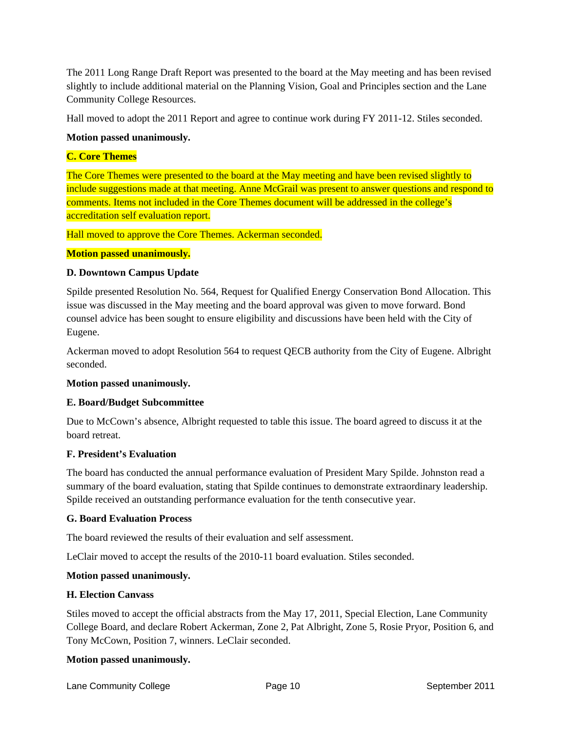The 2011 Long Range Draft Report was presented to the board at the May meeting and has been revised slightly to include additional material on the Planning Vision, Goal and Principles section and the Lane Community College Resources.

Hall moved to adopt the 2011 Report and agree to continue work during FY 2011-12. Stiles seconded.

## **Motion passed unanimously.**

## **C. Core Themes**

The Core Themes were presented to the board at the May meeting and have been revised slightly to include suggestions made at that meeting. Anne McGrail was present to answer questions and respond to comments. Items not included in the Core Themes document will be addressed in the college's accreditation self evaluation report.

Hall moved to approve the Core Themes. Ackerman seconded.

## **Motion passed unanimously.**

## **D. Downtown Campus Update**

Spilde presented Resolution No. 564, Request for Qualified Energy Conservation Bond Allocation. This issue was discussed in the May meeting and the board approval was given to move forward. Bond counsel advice has been sought to ensure eligibility and discussions have been held with the City of Eugene.

Ackerman moved to adopt Resolution 564 to request QECB authority from the City of Eugene. Albright seconded.

## **Motion passed unanimously.**

## **E. Board/Budget Subcommittee**

Due to McCown's absence, Albright requested to table this issue. The board agreed to discuss it at the board retreat.

## **F. President's Evaluation**

The board has conducted the annual performance evaluation of President Mary Spilde. Johnston read a summary of the board evaluation, stating that Spilde continues to demonstrate extraordinary leadership. Spilde received an outstanding performance evaluation for the tenth consecutive year.

## **G. Board Evaluation Process**

The board reviewed the results of their evaluation and self assessment.

LeClair moved to accept the results of the 2010-11 board evaluation. Stiles seconded.

## **Motion passed unanimously.**

## **H. Election Canvass**

Stiles moved to accept the official abstracts from the May 17, 2011, Special Election, Lane Community College Board, and declare Robert Ackerman, Zone 2, Pat Albright, Zone 5, Rosie Pryor, Position 6, and Tony McCown, Position 7, winners. LeClair seconded.

## **Motion passed unanimously.**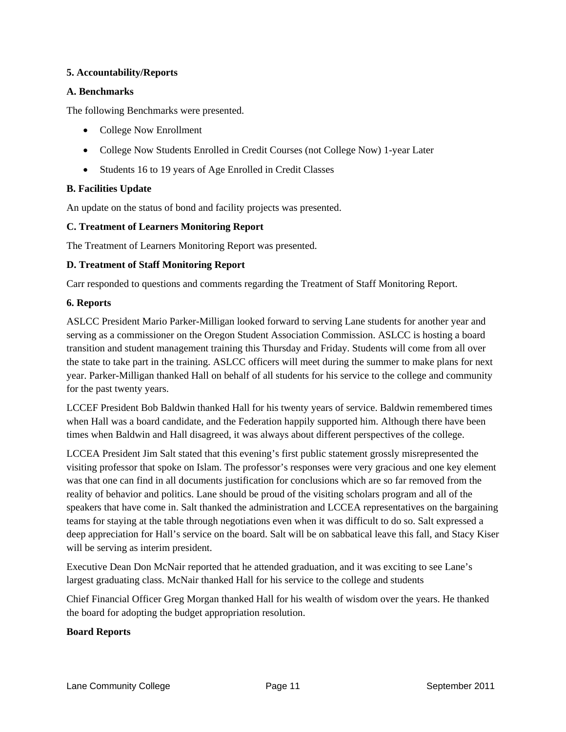## **5. Accountability/Reports**

## **A. Benchmarks**

The following Benchmarks were presented.

- College Now Enrollment
- College Now Students Enrolled in Credit Courses (not College Now) 1-year Later
- Students 16 to 19 years of Age Enrolled in Credit Classes

## **B. Facilities Update**

An update on the status of bond and facility projects was presented.

## **C. Treatment of Learners Monitoring Report**

The Treatment of Learners Monitoring Report was presented.

## **D. Treatment of Staff Monitoring Report**

Carr responded to questions and comments regarding the Treatment of Staff Monitoring Report.

## **6. Reports**

ASLCC President Mario Parker-Milligan looked forward to serving Lane students for another year and serving as a commissioner on the Oregon Student Association Commission. ASLCC is hosting a board transition and student management training this Thursday and Friday. Students will come from all over the state to take part in the training. ASLCC officers will meet during the summer to make plans for next year. Parker-Milligan thanked Hall on behalf of all students for his service to the college and community for the past twenty years.

LCCEF President Bob Baldwin thanked Hall for his twenty years of service. Baldwin remembered times when Hall was a board candidate, and the Federation happily supported him. Although there have been times when Baldwin and Hall disagreed, it was always about different perspectives of the college.

LCCEA President Jim Salt stated that this evening's first public statement grossly misrepresented the visiting professor that spoke on Islam. The professor's responses were very gracious and one key element was that one can find in all documents justification for conclusions which are so far removed from the reality of behavior and politics. Lane should be proud of the visiting scholars program and all of the speakers that have come in. Salt thanked the administration and LCCEA representatives on the bargaining teams for staying at the table through negotiations even when it was difficult to do so. Salt expressed a deep appreciation for Hall's service on the board. Salt will be on sabbatical leave this fall, and Stacy Kiser will be serving as interim president.

Executive Dean Don McNair reported that he attended graduation, and it was exciting to see Lane's largest graduating class. McNair thanked Hall for his service to the college and students

Chief Financial Officer Greg Morgan thanked Hall for his wealth of wisdom over the years. He thanked the board for adopting the budget appropriation resolution.

## **Board Reports**